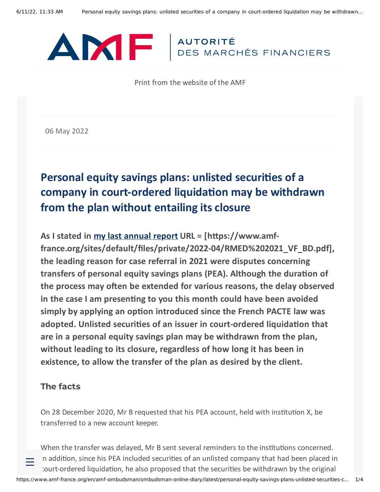

Print from the website of the AMF

06 May 2022

# **Personal equity savings plans: unlisted securities of a company in court-ordered liquidation may be withdrawn from the plan without entailing its closure**

**As I stated in my last [annual](https://www.amf-france.org/sites/default/files/private/2022-04/RMED%202021_VF_BD.pdf) report URL = [https://www.amffrance.org/sites/default/files/private/2022-04/RMED%202021\_VF\_BD.pdf], the leading reason for case referral in 2021 were disputes concerning transfers of personal equity savings plans (PEA). Although the duration of the process may often be extended for various reasons, the delay observed in the case I am presenting to you this month could have been avoided simply by applying an option introduced since the French PACTE law was adopted. Unlisted securities of an issuer in court-ordered liquidation that are in a personal equity savings plan may be withdrawn from the plan, without leading to its closure, regardless of how long it has been in existence, to allow the transfer of the plan as desired by the client.**

#### The facts

On 28 December 2020, Mr B requested that his PEA account, held with institution X, be transferred to a new account keeper.

When the transfer was delayed, Mr B sent several reminders to the institutions concerned. In addition, since his PEA included securities of an unlisted company that had been placed in court-ordered liquidation, he also proposed that the securities be withdrawn by the original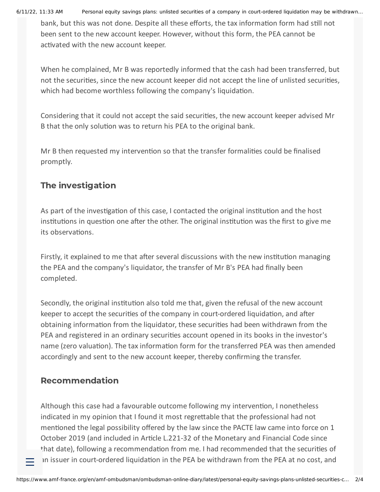6/11/22, 11:33 AM Personal equity savings plans: unlisted securities of a company in court-ordered liquidation may be withdrawn…

bank, but this was not done. Despite all these efforts, the tax information form had still not been sent to the new account keeper. However, without this form, the PEA cannot be activated with the new account keeper.

When he complained, Mr B was reportedly informed that the cash had been transferred, but not the securities, since the new account keeper did not accept the line of unlisted securities, which had become worthless following the company's liquidation.

Considering that it could not accept the said securities, the new account keeper advised Mr B that the only solution was to return his PEA to the original bank.

Mr B then requested my intervention so that the transfer formalities could be finalised promptly.

## The investigation

As part of the investigation of this case, I contacted the original institution and the host institutions in question one after the other. The original institution was the first to give me its observations.

Firstly, it explained to me that after several discussions with the new institution managing the PEA and the company's liquidator, the transfer of Mr B's PEA had finally been completed.

Secondly, the original institution also told me that, given the refusal of the new account keeper to accept the securities of the company in court-ordered liquidation, and after obtaining information from the liquidator, these securities had been withdrawn from the PEA and registered in an ordinary securities account opened in its books in the investor's name (zero valuation). The tax information form for the transferred PEA was then amended accordingly and sent to the new account keeper, thereby confirming the transfer.

### Recommendation

Although this case had a favourable outcome following my intervention, I nonetheless indicated in my opinion that I found it most regrettable that the professional had not mentioned the legal possibility offered by the law since the PACTE law came into force on 1 October 2019 (and included in Article L.221-32 of the Monetary and Financial Code since that date), following a recommendation from me. I had recommended that the securities of an issuer in court-ordered liquidation in the PEA be withdrawn from the PEA at no cost, and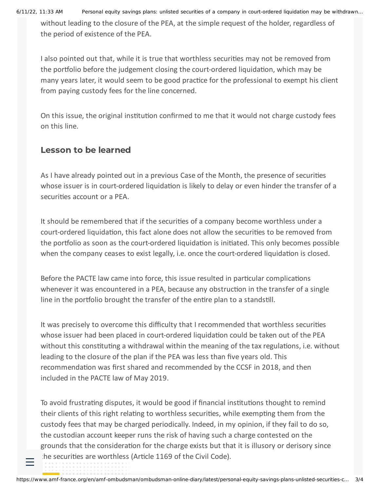6/11/22, 11:33 AM Personal equity savings plans: unlisted securities of a company in court-ordered liquidation may be withdrawn…

without leading to the closure of the PEA, at the simple request of the holder, regardless of the period of existence of the PEA.

I also pointed out that, while it is true that worthless securities may not be removed from the portfolio before the judgement closing the court-ordered liquidation, which may be many years later, it would seem to be good practice for the professional to exempt his client from paying custody fees for the line concerned.

On this issue, the original institution confirmed to me that it would not charge custody fees on this line.

#### Lesson to be learned

As I have already pointed out in a previous Case of the Month, the presence of securities whose issuer is in court-ordered liquidation is likely to delay or even hinder the transfer of a securities account or a PEA.

It should be remembered that if the securities of a company become worthless under a court-ordered liquidation, this fact alone does not allow the securities to be removed from the portfolio as soon as the court-ordered liquidation is initiated. This only becomes possible when the company ceases to exist legally, i.e. once the court-ordered liquidation is closed.

Before the PACTE law came into force, this issue resulted in particular complications whenever it was encountered in a PEA, because any obstruction in the transfer of a single line in the portfolio brought the transfer of the entire plan to a standstill.

It was precisely to overcome this difficulty that I recommended that worthless securities whose issuer had been placed in court-ordered liquidation could be taken out of the PEA without this constituting a withdrawal within the meaning of the tax regulations, i.e. without leading to the closure of the plan if the PEA was less than five years old. This recommendation was first shared and recommended by the CCSF in 2018, and then included in the PACTE law of May 2019.

To avoid frustrating disputes, it would be good if financial institutions thought to remind their clients of this right relating to worthless securities, while exempting them from the custody fees that may be charged periodically. Indeed, in my opinion, if they fail to do so, the custodian account keeper runs the risk of having such a charge contested on the grounds that the consideration for the charge exists but that it is illusory or derisory since the securities are worthless (Article 1169 of the Civil Code).